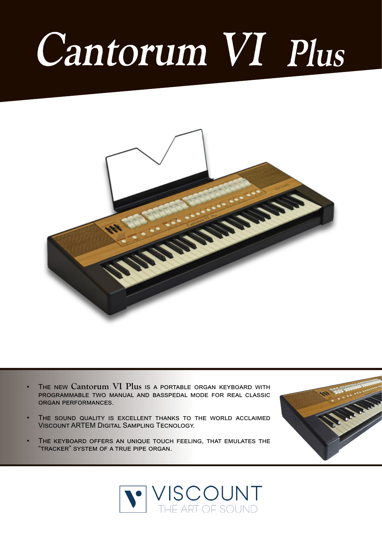## Cantorum VI Plus



- The new **Cantorum VI Plus** is a portable organ keyboard with programmable two manual and basspedal mode for real classic organ performances.
- THE SOUND QUALITY IS EXCELLENT THANKS TO THE WORLD ACCLAIMED Viscount ARTEM Digital Sampling Tecnology.
- THE KEYBOARD OFFERS AN UNIQUE TOUCH FEELING, THAT EMULATES THE "tracker" system of a true pipe organ.